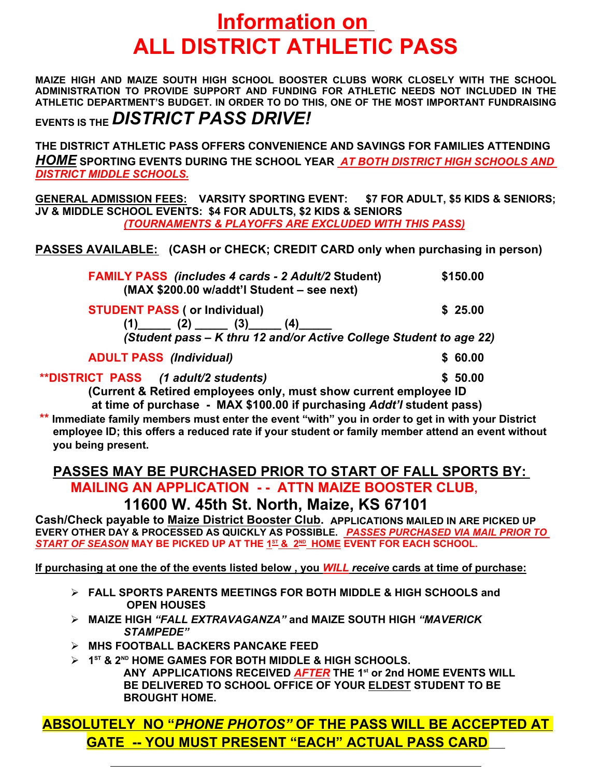## **Information on ALL DISTRICT ATHLETIC PASS**

**MAIZE HIGH AND MAIZE SOUTH HIGH SCHOOL BOOSTER CLUBS WORK CLOSELY WITH THE SCHOOL ADMINISTRATION TO PROVIDE SUPPORT AND FUNDING FOR ATHLETIC NEEDS NOT INCLUDED IN THE ATHLETIC DEPARTMENT'S BUDGET. IN ORDER TO DO THIS, ONE OF THE MOST IMPORTANT FUNDRAISING EVENTS IS THE** *DISTRICT PASS DRIVE!*

**THE DISTRICT ATHLETIC PASS OFFERS CONVENIENCE AND SAVINGS FOR FAMILIES ATTENDING**  *HOME* **SPORTING EVENTS DURING THE SCHOOL YEAR** *AT BOTH DISTRICT HIGH SCHOOLS AND DISTRICT MIDDLE SCHOOLS.*

**GENERAL ADMISSION FEES: VARSITY SPORTING EVENT: \$7 FOR ADULT, \$5 KIDS & SENIORS; JV & MIDDLE SCHOOL EVENTS: \$4 FOR ADULTS, \$2 KIDS & SENIORS**  *(TOURNAMENTS & PLAYOFFS ARE EXCLUDED WITH THIS PASS)*

**PASSES AVAILABLE: (CASH or CHECK; CREDIT CARD only when purchasing in person)**

| <b>FAMILY PASS</b> (includes 4 cards - 2 Adult/2 Student)<br>(MAX \$200.00 w/addt'l Student – see next) | \$150.00 |
|---------------------------------------------------------------------------------------------------------|----------|
| <b>STUDENT PASS (or Individual)</b>                                                                     | \$25.00  |
| (Student pass – K thru 12 and/or Active College Student to age 22)                                      |          |
| <b>ADULT PASS (Individual)</b>                                                                          | \$60.00  |
| <b>**DISTRICT PASS</b> (1 adult/2 students)                                                             | \$50.00  |
| Current & Petired employees only must show current employee ID                                          |          |

**(Current & Retired employees only, must show current employee ID at time of purchase - MAX \$100.00 if purchasing** *Addt'l* **student pass)**

**\*\* Immediate family members must enter the event "with" you in order to get in with your District employee ID; this offers a reduced rate if your student or family member attend an event without you being present.**

## **PASSES MAY BE PURCHASED PRIOR TO START OF FALL SPORTS BY: MAILING AN APPLICATION - - ATTN MAIZE BOOSTER CLUB,**

**11600 W. 45th St. North, Maize, KS 67101**

**Cash/Check payable to Maize District Booster Club. APPLICATIONS MAILED IN ARE PICKED UP EVERY OTHER DAY & PROCESSED AS QUICKLY AS POSSIBLE.** *PASSES PURCHASED VIA MAIL PRIOR TO*   $\overline{S}$  TART OF SEASON MAY BE PICKED UP AT THE 1 $^{\underline{3}\,\underline{1}}$  & 2 $^{\underline{m}}$  HOME EVENT FOR EACH SCHOOL.

**If purchasing at one the of the events listed below , you** *WILL receive* **cards at time of purchase:**

- **FALL SPORTS PARENTS MEETINGS FOR BOTH MIDDLE & HIGH SCHOOLS and OPEN HOUSES**
- **MAIZE HIGH** *"FALL EXTRAVAGANZA"* **and MAIZE SOUTH HIGH** *"MAVERICK STAMPEDE"*
- **MHS FOOTBALL BACKERS PANCAKE FEED**

 $\overline{a}$ 

 **1 ST & 2ND HOME GAMES FOR BOTH MIDDLE & HIGH SCHOOLS. ANY APPLICATIONS RECEIVED** *AFTER* **THE 1st or 2nd HOME EVENTS WILL BE DELIVERED TO SCHOOL OFFICE OF YOUR ELDEST STUDENT TO BE BROUGHT HOME.** 

**ABSOLUTELY NO "***PHONE PHOTOS"* **OF THE PASS WILL BE ACCEPTED AT GATE -- YOU MUST PRESENT "EACH" ACTUAL PASS CARD**